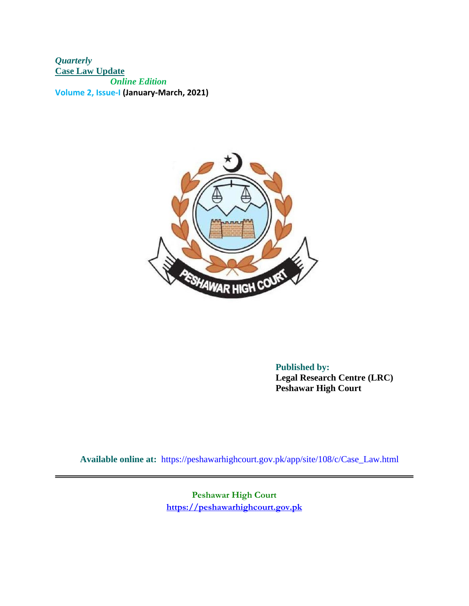*Quarterly*  **Case Law Update**  *Online Edition*  **Volume 2, Issue-I (January-March, 2021)**



**Published by: Legal Research Centre (LRC) Peshawar High Court** 

**Available online at:** <https://peshawarhighcourt.gov.pk/a>pp/site/108/c/Case\_Law.html

**Peshawar High Court [https://peshawarhighcourt.gov.pk](https://peshawarhighcourt.gov.pk/)**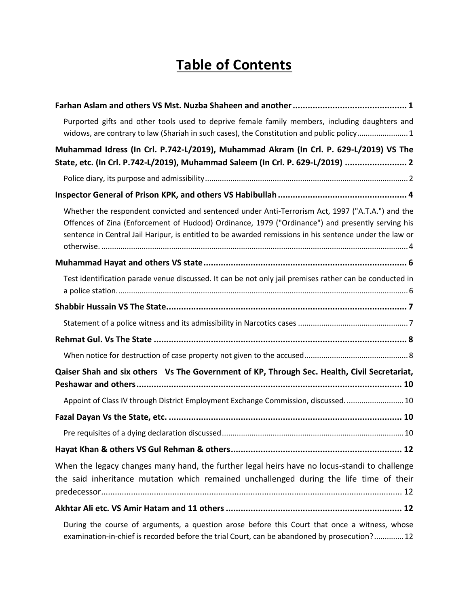# **Table of Contents**

| Purported gifts and other tools used to deprive female family members, including daughters and<br>widows, are contrary to law (Shariah in such cases), the Constitution and public policy1                                                                                                                      |
|-----------------------------------------------------------------------------------------------------------------------------------------------------------------------------------------------------------------------------------------------------------------------------------------------------------------|
| Muhammad Idress (In Crl. P.742-L/2019), Muhammad Akram (In Crl. P. 629-L/2019) VS The                                                                                                                                                                                                                           |
| State, etc. (In Crl. P.742-L/2019), Muhammad Saleem (In Crl. P. 629-L/2019)  2                                                                                                                                                                                                                                  |
|                                                                                                                                                                                                                                                                                                                 |
|                                                                                                                                                                                                                                                                                                                 |
| Whether the respondent convicted and sentenced under Anti-Terrorism Act, 1997 ("A.T.A.") and the<br>Offences of Zina (Enforcement of Hudood) Ordinance, 1979 ("Ordinance") and presently serving his<br>sentence in Central Jail Haripur, is entitled to be awarded remissions in his sentence under the law or |
|                                                                                                                                                                                                                                                                                                                 |
| Test identification parade venue discussed. It can be not only jail premises rather can be conducted in                                                                                                                                                                                                         |
|                                                                                                                                                                                                                                                                                                                 |
|                                                                                                                                                                                                                                                                                                                 |
|                                                                                                                                                                                                                                                                                                                 |
|                                                                                                                                                                                                                                                                                                                 |
| Qaiser Shah and six others Vs The Government of KP, Through Sec. Health, Civil Secretariat,                                                                                                                                                                                                                     |
| Appoint of Class IV through District Employment Exchange Commission, discussed 10                                                                                                                                                                                                                               |
|                                                                                                                                                                                                                                                                                                                 |
|                                                                                                                                                                                                                                                                                                                 |
|                                                                                                                                                                                                                                                                                                                 |
| When the legacy changes many hand, the further legal heirs have no locus-standi to challenge<br>the said inheritance mutation which remained unchallenged during the life time of their                                                                                                                         |
|                                                                                                                                                                                                                                                                                                                 |
| During the seure of arguments, a question arges before this Court that ance a witness whose                                                                                                                                                                                                                     |

[During the course of arguments, a question arose before this Court that once a witness, whose](#page-14-3)  [examination-in-chief is recorded before the trial Court, can be abandoned by prosecution?..............12](#page-14-3)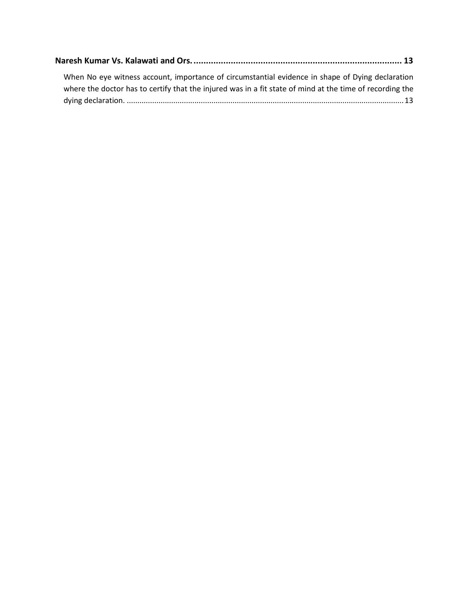| When No eye witness account, importance of circumstantial evidence in shape of Dying declaration         |
|----------------------------------------------------------------------------------------------------------|
| where the doctor has to certify that the injured was in a fit state of mind at the time of recording the |
|                                                                                                          |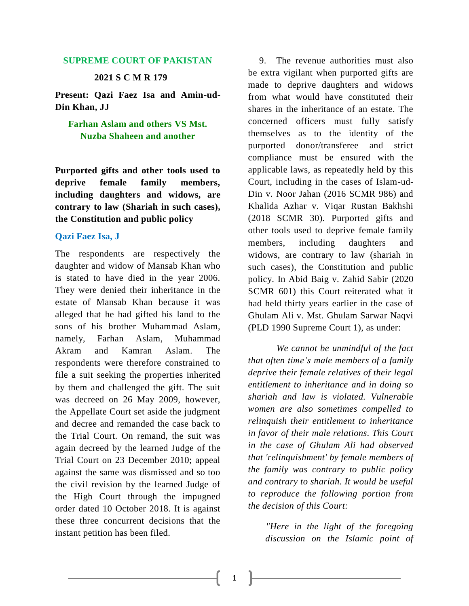#### **SUPREME COURT OF PAKISTAN**

#### **2021 S C M R 179**

**Present: Qazi Faez Isa and Amin-ud-Din Khan, JJ**

# <span id="page-3-0"></span>**Farhan Aslam and others VS Mst. Nuzba Shaheen and another**

<span id="page-3-1"></span>**Purported gifts and other tools used to deprive female family members, including daughters and widows, are contrary to law (Shariah in such cases), the Constitution and public policy**

#### **Qazi Faez Isa, J**

The respondents are respectively the daughter and widow of Mansab Khan who is stated to have died in the year 2006. They were denied their inheritance in the estate of Mansab Khan because it was alleged that he had gifted his land to the sons of his brother Muhammad Aslam, namely, Farhan Aslam, Muhammad Akram and Kamran Aslam. The respondents were therefore constrained to file a suit seeking the properties inherited by them and challenged the gift. The suit was decreed on 26 May 2009, however, the Appellate Court set aside the judgment and decree and remanded the case back to the Trial Court. On remand, the suit was again decreed by the learned Judge of the Trial Court on 23 December 2010; appeal against the same was dismissed and so too the civil revision by the learned Judge of the High Court through the impugned order dated 10 October 2018. It is against these three concurrent decisions that the instant petition has been filed.

9. The revenue authorities must also be extra vigilant when purported gifts are made to deprive daughters and widows from what would have constituted their shares in the inheritance of an estate. The concerned officers must fully satisfy themselves as to the identity of the purported donor/transferee and strict compliance must be ensured with the applicable laws, as repeatedly held by this Court, including in the cases of Islam-ud-Din v. Noor Jahan (2016 SCMR 986) and Khalida Azhar v. Viqar Rustan Bakhshi (2018 SCMR 30). Purported gifts and other tools used to deprive female family members, including daughters and widows, are contrary to law (shariah in such cases), the Constitution and public policy. In Abid Baig v. Zahid Sabir (2020 SCMR 601) this Court reiterated what it had held thirty years earlier in the case of Ghulam Ali v. Mst. Ghulam Sarwar Naqvi (PLD 1990 Supreme Court 1), as under:

 *We cannot be unmindful of the fact that often time's male members of a family deprive their female relatives of their legal entitlement to inheritance and in doing so shariah and law is violated. Vulnerable women are also sometimes compelled to relinquish their entitlement to inheritance in favor of their male relations. This Court in the case of Ghulam Ali had observed that 'relinquishment' by female members of the family was contrary to public policy and contrary to shariah. It would be useful to reproduce the following portion from the decision of this Court:*

 *"Here in the light of the foregoing discussion on the Islamic point of*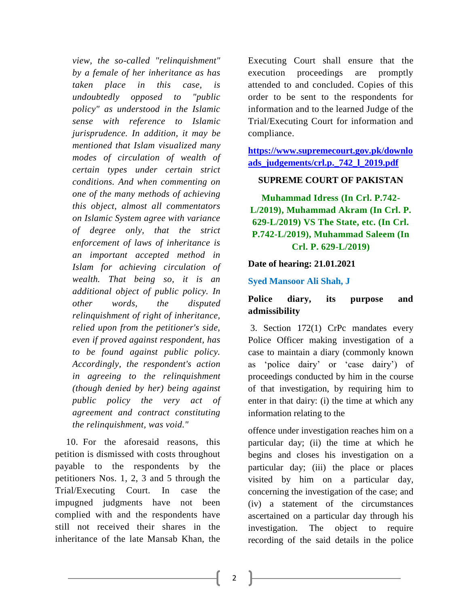*view, the so-called "relinquishment" by a female of her inheritance as has taken place in this case, is undoubtedly opposed to "public policy" as understood in the Islamic sense with reference to Islamic jurisprudence. In addition, it may be mentioned that Islam visualized many modes of circulation of wealth of certain types under certain strict conditions. And when commenting on one of the many methods of achieving this object, almost all commentators on Islamic System agree with variance of degree only, that the strict enforcement of laws of inheritance is an important accepted method in Islam for achieving circulation of wealth. That being so, it is an additional object of public policy. In other words, the disputed relinquishment of right of inheritance, relied upon from the petitioner's side, even if proved against respondent, has to be found against public policy. Accordingly, the respondent's action in agreeing to the relinquishment (though denied by her) being against public policy the very act of agreement and contract constituting the relinquishment, was void."*

10. For the aforesaid reasons, this petition is dismissed with costs throughout payable to the respondents by the petitioners Nos. 1, 2, 3 and 5 through the Trial/Executing Court. In case the impugned judgments have not been complied with and the respondents have still not received their shares in the inheritance of the late Mansab Khan, the Executing Court shall ensure that the execution proceedings are promptly attended to and concluded. Copies of this order to be sent to the respondents for information and to the learned Judge of the Trial/Executing Court for information and compliance.

**[https://www.supremecourt.gov.pk/downlo](https://www.supremecourt.gov.pk/downloads_judgements/crl.p._742_l_2019.pdf) [ads\\_judgements/crl.p.\\_742\\_l\\_2019.pdf](https://www.supremecourt.gov.pk/downloads_judgements/crl.p._742_l_2019.pdf)**

#### **SUPREME COURT OF PAKISTAN**

<span id="page-4-0"></span>**Muhammad Idress (In Crl. P.742- L/2019), Muhammad Akram (In Crl. P. 629-L/2019) VS The State, etc. (In Crl. P.742-L/2019), Muhammad Saleem (In Crl. P. 629-L/2019)**

#### **Date of hearing: 21.01.2021**

#### **Syed Mansoor Ali Shah, J**

# <span id="page-4-1"></span>**Police diary, its purpose and admissibility**

3. Section 172(1) CrPc mandates every Police Officer making investigation of a case to maintain a diary (commonly known as 'police dairy' or 'case dairy') of proceedings conducted by him in the course of that investigation, by requiring him to enter in that dairy: (i) the time at which any information relating to the

offence under investigation reaches him on a particular day; (ii) the time at which he begins and closes his investigation on a particular day; (iii) the place or places visited by him on a particular day, concerning the investigation of the case; and (iv) a statement of the circumstances ascertained on a particular day through his investigation. The object to require recording of the said details in the police

2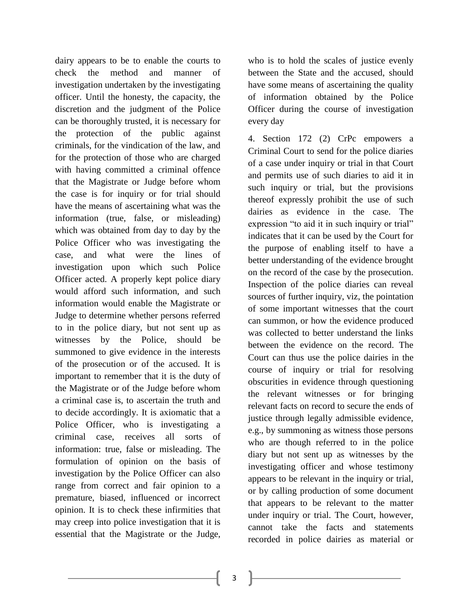dairy appears to be to enable the courts to check the method and manner of investigation undertaken by the investigating officer. Until the honesty, the capacity, the discretion and the judgment of the Police can be thoroughly trusted, it is necessary for the protection of the public against criminals, for the vindication of the law, and for the protection of those who are charged with having committed a criminal offence that the Magistrate or Judge before whom the case is for inquiry or for trial should have the means of ascertaining what was the information (true, false, or misleading) which was obtained from day to day by the Police Officer who was investigating the case, and what were the lines of investigation upon which such Police Officer acted. A properly kept police diary would afford such information, and such information would enable the Magistrate or Judge to determine whether persons referred to in the police diary, but not sent up as witnesses by the Police, should be summoned to give evidence in the interests of the prosecution or of the accused. It is important to remember that it is the duty of the Magistrate or of the Judge before whom a criminal case is, to ascertain the truth and to decide accordingly. It is axiomatic that a Police Officer, who is investigating a criminal case, receives all sorts of information: true, false or misleading. The formulation of opinion on the basis of investigation by the Police Officer can also range from correct and fair opinion to a premature, biased, influenced or incorrect opinion. It is to check these infirmities that may creep into police investigation that it is essential that the Magistrate or the Judge,

who is to hold the scales of justice evenly between the State and the accused, should have some means of ascertaining the quality of information obtained by the Police Officer during the course of investigation every day

4. Section 172 (2) CrPc empowers a Criminal Court to send for the police diaries of a case under inquiry or trial in that Court and permits use of such diaries to aid it in such inquiry or trial, but the provisions thereof expressly prohibit the use of such dairies as evidence in the case. The expression "to aid it in such inquiry or trial" indicates that it can be used by the Court for the purpose of enabling itself to have a better understanding of the evidence brought on the record of the case by the prosecution. Inspection of the police diaries can reveal sources of further inquiry, viz, the pointation of some important witnesses that the court can summon, or how the evidence produced was collected to better understand the links between the evidence on the record. The Court can thus use the police dairies in the course of inquiry or trial for resolving obscurities in evidence through questioning the relevant witnesses or for bringing relevant facts on record to secure the ends of justice through legally admissible evidence, e.g., by summoning as witness those persons who are though referred to in the police diary but not sent up as witnesses by the investigating officer and whose testimony appears to be relevant in the inquiry or trial, or by calling production of some document that appears to be relevant to the matter under inquiry or trial. The Court, however, cannot take the facts and statements recorded in police dairies as material or

3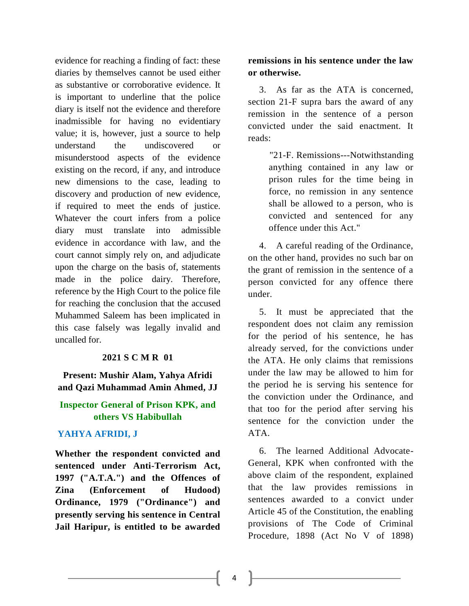evidence for reaching a finding of fact: these diaries by themselves cannot be used either as substantive or corroborative evidence. It is important to underline that the police diary is itself not the evidence and therefore inadmissible for having no evidentiary value; it is, however, just a source to help understand the undiscovered or misunderstood aspects of the evidence existing on the record, if any, and introduce new dimensions to the case, leading to discovery and production of new evidence, if required to meet the ends of justice. Whatever the court infers from a police diary must translate into admissible evidence in accordance with law, and the court cannot simply rely on, and adjudicate upon the charge on the basis of, statements made in the police dairy. Therefore, reference by the High Court to the police file for reaching the conclusion that the accused Muhammed Saleem has been implicated in this case falsely was legally invalid and uncalled for.

#### **2021 S C M R 01**

**Present: Mushir Alam, Yahya Afridi and Qazi Muhammad Amin Ahmed, JJ**

# <span id="page-6-0"></span>**Inspector General of Prison KPK, and others VS Habibullah**

## **YAHYA AFRIDI, J**

<span id="page-6-1"></span>**Whether the respondent convicted and sentenced under Anti-Terrorism Act, 1997 ("A.T.A.") and the Offences of Zina (Enforcement of Hudood) Ordinance, 1979 ("Ordinance") and presently serving his sentence in Central Jail Haripur, is entitled to be awarded** 

## **remissions in his sentence under the law or otherwise.**

3. As far as the ATA is concerned, section 21-F supra bars the award of any remission in the sentence of a person convicted under the said enactment. It reads:

> "21-F. Remissions---Notwithstanding anything contained in any law or prison rules for the time being in force, no remission in any sentence shall be allowed to a person, who is convicted and sentenced for any offence under this Act."

4. A careful reading of the Ordinance, on the other hand, provides no such bar on the grant of remission in the sentence of a person convicted for any offence there under.

5. It must be appreciated that the respondent does not claim any remission for the period of his sentence, he has already served, for the convictions under the ATA. He only claims that remissions under the law may be allowed to him for the period he is serving his sentence for the conviction under the Ordinance, and that too for the period after serving his sentence for the conviction under the ATA.

6. The learned Additional Advocate-General, KPK when confronted with the above claim of the respondent, explained that the law provides remissions in sentences awarded to a convict under Article 45 of the Constitution, the enabling provisions of The Code of Criminal Procedure, 1898 (Act No V of 1898)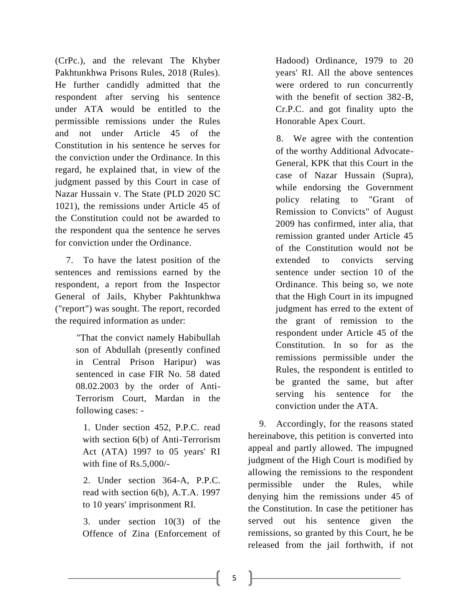(CrPc.), and the relevant The Khyber Pakhtunkhwa Prisons Rules, 2018 (Rules). He further candidly admitted that the respondent after serving his sentence under ATA would be entitled to the permissible remissions under the Rules and not under Article 45 of the Constitution in his sentence he serves for the conviction under the Ordinance. In this regard, he explained that, in view of the judgment passed by this Court in case of Nazar Hussain v. The State (PLD 2020 SC 1021), the remissions under Article 45 of the Constitution could not be awarded to the respondent qua the sentence he serves for conviction under the Ordinance.

7. To have the latest position of the sentences and remissions earned by the respondent, a report from the Inspector General of Jails, Khyber Pakhtunkhwa ("report") was sought. The report, recorded the required information as under:

> "That the convict namely Habibullah son of Abdullah (presently confined in Central Prison Haripur) was sentenced in case FIR No. 58 dated 08.02.2003 by the order of Anti-Terrorism Court, Mardan in the following cases: -

 1. Under section 452, P.P.C. read with section 6(b) of Anti-Terrorism Act (ATA) 1997 to 05 years' RI with fine of Rs.5,000/-

 2. Under section 364-A, P.P.C. read with section 6(b), A.T.A. 1997 to 10 years' imprisonment RI.

 3. under section 10(3) of the Offence of Zina (Enforcement of Hadood) Ordinance, 1979 to 20 years' RI. All the above sentences were ordered to run concurrently with the benefit of section 382-B, Cr.P.C. and got finality upto the Honorable Apex Court.

 8. We agree with the contention of the worthy Additional Advocate-General, KPK that this Court in the case of Nazar Hussain (Supra), while endorsing the Government policy relating to "Grant of Remission to Convicts" of August 2009 has confirmed, inter alia, that remission granted under Article 45 of the Constitution would not be extended to convicts serving sentence under section 10 of the Ordinance. This being so, we note that the High Court in its impugned judgment has erred to the extent of the grant of remission to the respondent under Article 45 of the Constitution. In so for as the remissions permissible under the Rules, the respondent is entitled to be granted the same, but after serving his sentence for the conviction under the ATA.

9. Accordingly, for the reasons stated hereinabove, this petition is converted into appeal and partly allowed. The impugned judgment of the High Court is modified by allowing the remissions to the respondent permissible under the Rules, while denying him the remissions under 45 of the Constitution. In case the petitioner has served out his sentence given the remissions, so granted by this Court, he be released from the jail forthwith, if not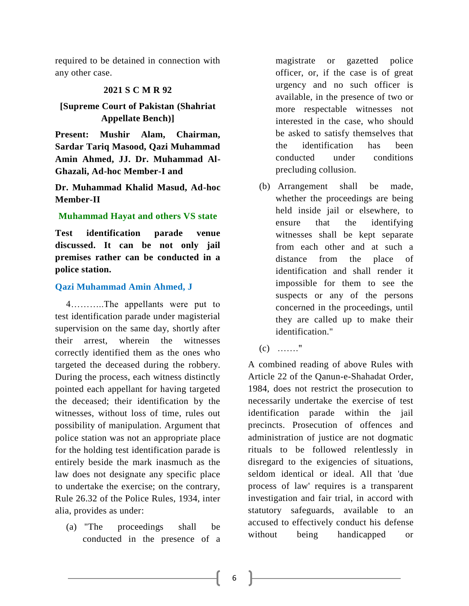required to be detained in connection with any other case.

#### **2021 S C M R 92**

# **[Supreme Court of Pakistan (Shahriat Appellate Bench)]**

**Present: Mushir Alam, Chairman, Sardar Tariq Masood, Qazi Muhammad Amin Ahmed, JJ. Dr. Muhammad Al-Ghazali, Ad-hoc Member-I and**

**Dr. Muhammad Khalid Masud, Ad-hoc Member-II**

#### <span id="page-8-0"></span>**Muhammad Hayat and others VS state**

<span id="page-8-1"></span>**Test identification parade venue discussed. It can be not only jail premises rather can be conducted in a police station.**

#### **Qazi Muhammad Amin Ahmed, J**

4………..The appellants were put to test identification parade under magisterial supervision on the same day, shortly after their arrest, wherein the witnesses correctly identified them as the ones who targeted the deceased during the robbery. During the process, each witness distinctly pointed each appellant for having targeted the deceased; their identification by the witnesses, without loss of time, rules out possibility of manipulation. Argument that police station was not an appropriate place for the holding test identification parade is entirely beside the mark inasmuch as the law does not designate any specific place to undertake the exercise; on the contrary, Rule 26.32 of the Police Rules, 1934, inter alia, provides as under:

(a) "The proceedings shall be conducted in the presence of a magistrate or gazetted police officer, or, if the case is of great urgency and no such officer is available, in the presence of two or more respectable witnesses not interested in the case, who should be asked to satisfy themselves that the identification has been conducted under conditions precluding collusion.

- (b) Arrangement shall be made, whether the proceedings are being held inside jail or elsewhere, to ensure that the identifying witnesses shall be kept separate from each other and at such a distance from the place of identification and shall render it impossible for them to see the suspects or any of the persons concerned in the proceedings, until they are called up to make their identification."
- (c) ……."

A combined reading of above Rules with Article 22 of the Qanun-e-Shahadat Order, 1984, does not restrict the prosecution to necessarily undertake the exercise of test identification parade within the jail precincts. Prosecution of offences and administration of justice are not dogmatic rituals to be followed relentlessly in disregard to the exigencies of situations, seldom identical or ideal. All that 'due process of law' requires is a transparent investigation and fair trial, in accord with statutory safeguards, available to an accused to effectively conduct his defense without being handicapped or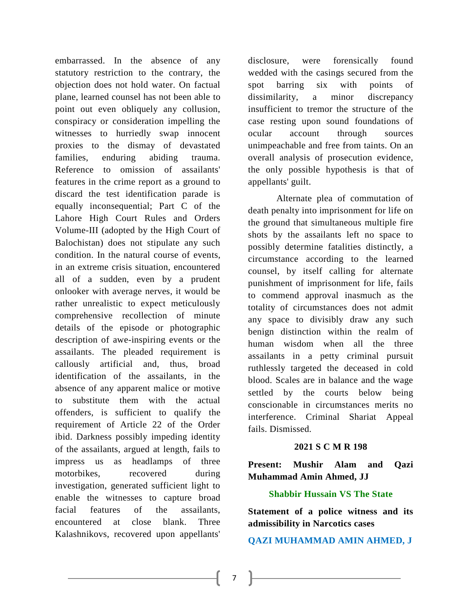embarrassed. In the absence of any statutory restriction to the contrary, the objection does not hold water. On factual plane, learned counsel has not been able to point out even obliquely any collusion, conspiracy or consideration impelling the witnesses to hurriedly swap innocent proxies to the dismay of devastated families, enduring abiding trauma. Reference to omission of assailants' features in the crime report as a ground to discard the test identification parade is equally inconsequential; Part C of the Lahore High Court Rules and Orders Volume-III (adopted by the High Court of Balochistan) does not stipulate any such condition. In the natural course of events, in an extreme crisis situation, encountered all of a sudden, even by a prudent onlooker with average nerves, it would be rather unrealistic to expect meticulously comprehensive recollection of minute details of the episode or photographic description of awe-inspiring events or the assailants. The pleaded requirement is callously artificial and, thus, broad identification of the assailants, in the absence of any apparent malice or motive to substitute them with the actual offenders, is sufficient to qualify the requirement of Article 22 of the Order ibid. Darkness possibly impeding identity of the assailants, argued at length, fails to impress us as headlamps of three motorbikes, recovered during investigation, generated sufficient light to enable the witnesses to capture broad facial features of the assailants, encountered at close blank. Three Kalashnikovs, recovered upon appellants'

disclosure, were forensically found wedded with the casings secured from the spot barring six with points of dissimilarity, a minor discrepancy insufficient to tremor the structure of the case resting upon sound foundations of ocular account through sources unimpeachable and free from taints. On an overall analysis of prosecution evidence, the only possible hypothesis is that of appellants' guilt.

 Alternate plea of commutation of death penalty into imprisonment for life on the ground that simultaneous multiple fire shots by the assailants left no space to possibly determine fatalities distinctly, a circumstance according to the learned counsel, by itself calling for alternate punishment of imprisonment for life, fails to commend approval inasmuch as the totality of circumstances does not admit any space to divisibly draw any such benign distinction within the realm of human wisdom when all the three assailants in a petty criminal pursuit ruthlessly targeted the deceased in cold blood. Scales are in balance and the wage settled by the courts below being conscionable in circumstances merits no interference. Criminal Shariat Appeal fails. Dismissed.

## **2021 S C M R 198**

**Present: Mushir Alam and Qazi Muhammad Amin Ahmed, JJ**

## **Shabbir Hussain VS The State**

<span id="page-9-1"></span><span id="page-9-0"></span>**Statement of a police witness and its admissibility in Narcotics cases**

**QAZI MUHAMMAD AMIN AHMED, J**

7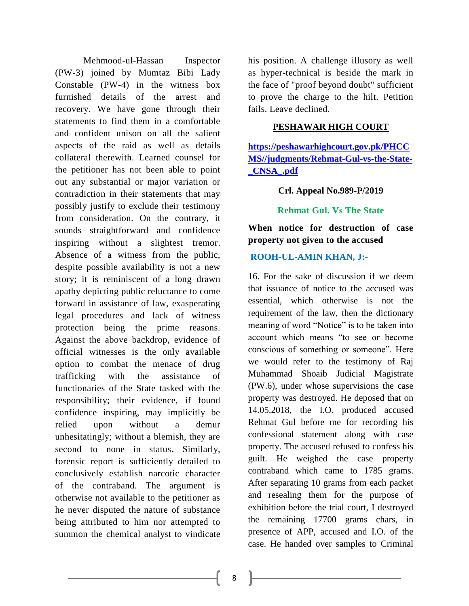Mehmood-ul-Hassan Inspector (PW-3) joined by Mumtaz Bibi Lady Constable (PW-4) in the witness box furnished details of the arrest and recovery. We have gone through their statements to find them in a comfortable and confident unison on all the salient aspects of the raid as well as details collateral therewith. Learned counsel for the petitioner has not been able to point out any substantial or major variation or contradiction in their statements that may possibly justify to exclude their testimony from consideration. On the contrary, it sounds straightforward and confidence inspiring without a slightest tremor. Absence of a witness from the public, despite possible availability is not a new story; it is reminiscent of a long drawn apathy depicting public reluctance to come forward in assistance of law, exasperating legal procedures and lack of witness protection being the prime reasons. Against the above backdrop, evidence of official witnesses is the only available option to combat the menace of drug trafficking with the assistance of functionaries of the State tasked with the responsibility; their evidence, if found confidence inspiring, may implicitly be relied upon without a demur unhesitatingly; without a blemish, they are second to none in status**.** Similarly, forensic report is sufficiently detailed to conclusively establish narcotic character of the contraband. The argument is otherwise not available to the petitioner as he never disputed the nature of substance being attributed to him nor attempted to summon the chemical analyst to vindicate

his position. A challenge illusory as well as hyper-technical is beside the mark in the face of "proof beyond doubt" sufficient to prove the charge to the hilt. Petition fails. Leave declined.

## **PESHAWAR HIGH COURT**

**[https://peshawarhighcourt.gov.pk/PHCC](https://peshawarhighcourt.gov.pk/PHCCMS/judgments/Rehmat-Gul-vs-the-State-_CNSA_.pdf) [MS//judgments/Rehmat-Gul-vs-the-State-](https://peshawarhighcourt.gov.pk/PHCCMS/judgments/Rehmat-Gul-vs-the-State-_CNSA_.pdf) [\\_CNSA\\_.pdf](https://peshawarhighcourt.gov.pk/PHCCMS/judgments/Rehmat-Gul-vs-the-State-_CNSA_.pdf)**

**Crl. Appeal No.989-P/2019**

**Rehmat Gul. Vs The State**

<span id="page-10-1"></span><span id="page-10-0"></span>**When notice for destruction of case property not given to the accused**

## **ROOH-UL-AMIN KHAN, J:-**

16. For the sake of discussion if we deem that issuance of notice to the accused was essential, which otherwise is not the requirement of the law, then the dictionary meaning of word "Notice" is to be taken into account which means "to see or become conscious of something or someone". Here we would refer to the testimony of Raj Muhammad Shoaib Judicial Magistrate (PW.6), under whose supervisions the case property was destroyed. He deposed that on 14.05.2018, the I.O. produced accused Rehmat Gul before me for recording his confessional statement along with case property. The accused refused to confess his guilt. He weighed the case property contraband which came to 1785 grams. After separating 10 grams from each packet and resealing them for the purpose of exhibition before the trial court, I destroyed the remaining 17700 grams chars, in presence of APP, accused and I.O. of the case. He handed over samples to Criminal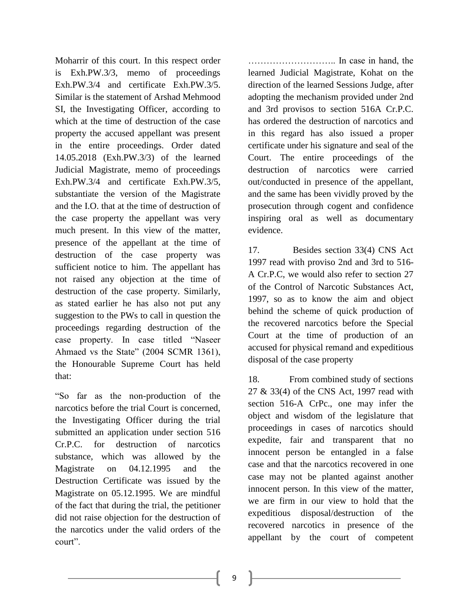Moharrir of this court. In this respect order is Exh.PW.3/3, memo of proceedings Exh.PW.3/4 and certificate Exh.PW.3/5. Similar is the statement of Arshad Mehmood SI, the Investigating Officer, according to which at the time of destruction of the case property the accused appellant was present in the entire proceedings. Order dated 14.05.2018 (Exh.PW.3/3) of the learned Judicial Magistrate, memo of proceedings Exh.PW.3/4 and certificate Exh.PW.3/5, substantiate the version of the Magistrate and the I.O. that at the time of destruction of the case property the appellant was very much present. In this view of the matter, presence of the appellant at the time of destruction of the case property was sufficient notice to him. The appellant has not raised any objection at the time of destruction of the case property. Similarly, as stated earlier he has also not put any suggestion to the PWs to call in question the proceedings regarding destruction of the case property. In case titled "Naseer Ahmaed vs the State" (2004 SCMR 1361), the Honourable Supreme Court has held that:

"So far as the non-production of the narcotics before the trial Court is concerned, the Investigating Officer during the trial submitted an application under section 516 Cr.P.C. for destruction of narcotics substance, which was allowed by the Magistrate on 04.12.1995 and the Destruction Certificate was issued by the Magistrate on 05.12.1995. We are mindful of the fact that during the trial, the petitioner did not raise objection for the destruction of the narcotics under the valid orders of the court".

……………………….. In case in hand, the learned Judicial Magistrate, Kohat on the direction of the learned Sessions Judge, after adopting the mechanism provided under 2nd and 3rd provisos to section 516A Cr.P.C. has ordered the destruction of narcotics and in this regard has also issued a proper certificate under his signature and seal of the Court. The entire proceedings of the destruction of narcotics were carried out/conducted in presence of the appellant, and the same has been vividly proved by the prosecution through cogent and confidence inspiring oral as well as documentary evidence.

17. Besides section 33(4) CNS Act 1997 read with proviso 2nd and 3rd to 516- A Cr.P.C, we would also refer to section 27 of the Control of Narcotic Substances Act, 1997, so as to know the aim and object behind the scheme of quick production of the recovered narcotics before the Special Court at the time of production of an accused for physical remand and expeditious disposal of the case property

18. From combined study of sections 27 & 33(4) of the CNS Act, 1997 read with section 516-A CrPc., one may infer the object and wisdom of the legislature that proceedings in cases of narcotics should expedite, fair and transparent that no innocent person be entangled in a false case and that the narcotics recovered in one case may not be planted against another innocent person. In this view of the matter, we are firm in our view to hold that the expeditious disposal/destruction of the recovered narcotics in presence of the appellant by the court of competent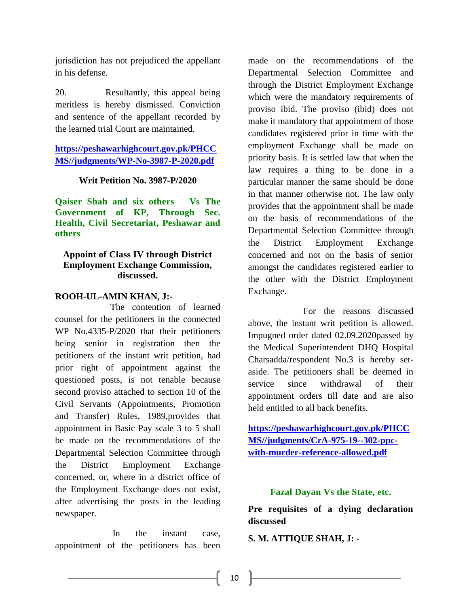jurisdiction has not prejudiced the appellant in his defense.

20. Resultantly, this appeal being meritless is hereby dismissed. Conviction and sentence of the appellant recorded by the learned trial Court are maintained.

# **[https://peshawarhighcourt.gov.pk/PHCC](https://peshawarhighcourt.gov.pk/PHCCMS/judgments/WP-No-3987-P-2020.pdf) [MS//judgments/WP-No-3987-P-2020.pdf](https://peshawarhighcourt.gov.pk/PHCCMS/judgments/WP-No-3987-P-2020.pdf)**

## **Writ Petition No. 3987-P/2020**

<span id="page-12-0"></span>**Qaiser Shah and six others Vs The Government of KP, Through Sec. Health, Civil Secretariat, Peshawar and others**

## <span id="page-12-1"></span>**Appoint of Class IV through District Employment Exchange Commission, discussed.**

## **ROOH-UL-AMIN KHAN, J:-**

The contention of learned counsel for the petitioners in the connected WP No.4335-P/2020 that their petitioners being senior in registration then the petitioners of the instant writ petition, had prior right of appointment against the questioned posts, is not tenable because second proviso attached to section 10 of the Civil Servants (Appointments, Promotion and Transfer) Rules, 1989,provides that appointment in Basic Pay scale 3 to 5 shall be made on the recommendations of the Departmental Selection Committee through the District Employment Exchange concerned, or, where in a district office of the Employment Exchange does not exist, after advertising the posts in the leading newspaper.

In the instant case, appointment of the petitioners has been made on the recommendations of the Departmental Selection Committee and through the District Employment Exchange which were the mandatory requirements of proviso ibid. The proviso (ibid) does not make it mandatory that appointment of those candidates registered prior in time with the employment Exchange shall be made on priority basis. It is settled law that when the law requires a thing to be done in a particular manner the same should be done in that manner otherwise not. The law only provides that the appointment shall be made on the basis of recommendations of the Departmental Selection Committee through the District Employment Exchange concerned and not on the basis of senior amongst the candidates registered earlier to the other with the District Employment Exchange.

For the reasons discussed above, the instant writ petition is allowed. Impugned order dated 02.09.2020passed by the Medical Superintendent DHQ Hospital Charsadda/respondent No.3 is hereby setaside. The petitioners shall be deemed in service since withdrawal of their appointment orders till date and are also held entitled to all back benefits.

**[https://peshawarhighcourt.gov.pk/PHCC](https://peshawarhighcourt.gov.pk/PHCCMS/judgments/CrA-975-19--302-ppc-with-murder-reference-allowed.pdf) [MS//judgments/CrA-975-19--302-ppc](https://peshawarhighcourt.gov.pk/PHCCMS/judgments/CrA-975-19--302-ppc-with-murder-reference-allowed.pdf)[with-murder-reference-allowed.pdf](https://peshawarhighcourt.gov.pk/PHCCMS/judgments/CrA-975-19--302-ppc-with-murder-reference-allowed.pdf)**

## **Fazal Dayan Vs the State, etc.**

<span id="page-12-3"></span><span id="page-12-2"></span>**Pre requisites of a dying declaration discussed**

**S. M. ATTIQUE SHAH, J: -**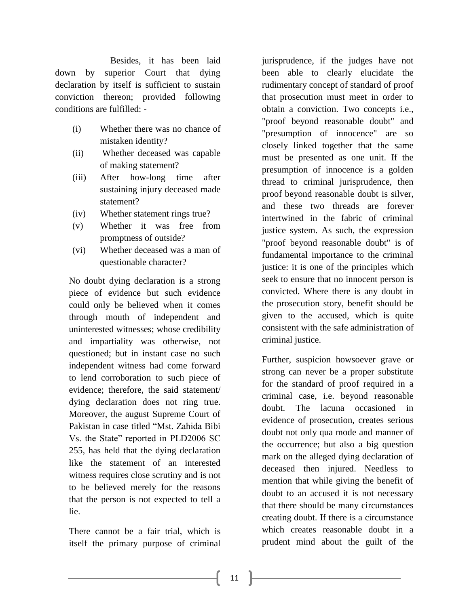Besides, it has been laid down by superior Court that dying declaration by itself is sufficient to sustain conviction thereon; provided following conditions are fulfilled: -

- (i) Whether there was no chance of mistaken identity?
- (ii) Whether deceased was capable of making statement?
- (iii) After how-long time after sustaining injury deceased made statement?
- (iv) Whether statement rings true?
- (v) Whether it was free from promptness of outside?
- (vi) Whether deceased was a man of questionable character?

No doubt dying declaration is a strong piece of evidence but such evidence could only be believed when it comes through mouth of independent and uninterested witnesses; whose credibility and impartiality was otherwise, not questioned; but in instant case no such independent witness had come forward to lend corroboration to such piece of evidence; therefore, the said statement/ dying declaration does not ring true. Moreover, the august Supreme Court of Pakistan in case titled "Mst. Zahida Bibi Vs. the State" reported in PLD2006 SC 255, has held that the dying declaration like the statement of an interested witness requires close scrutiny and is not to be believed merely for the reasons that the person is not expected to tell a lie.

There cannot be a fair trial, which is itself the primary purpose of criminal jurisprudence, if the judges have not been able to clearly elucidate the rudimentary concept of standard of proof that prosecution must meet in order to obtain a conviction. Two concepts i.e., "proof beyond reasonable doubt" and "presumption of innocence" are so closely linked together that the same must be presented as one unit. If the presumption of innocence is a golden thread to criminal jurisprudence, then proof beyond reasonable doubt is silver, and these two threads are forever intertwined in the fabric of criminal justice system. As such, the expression "proof beyond reasonable doubt" is of fundamental importance to the criminal justice: it is one of the principles which seek to ensure that no innocent person is convicted. Where there is any doubt in the prosecution story, benefit should be given to the accused, which is quite consistent with the safe administration of criminal justice.

Further, suspicion howsoever grave or strong can never be a proper substitute for the standard of proof required in a criminal case, i.e. beyond reasonable doubt. The lacuna occasioned in evidence of prosecution, creates serious doubt not only qua mode and manner of the occurrence; but also a big question mark on the alleged dying declaration of deceased then injured. Needless to mention that while giving the benefit of doubt to an accused it is not necessary that there should be many circumstances creating doubt. If there is a circumstance which creates reasonable doubt in a prudent mind about the guilt of the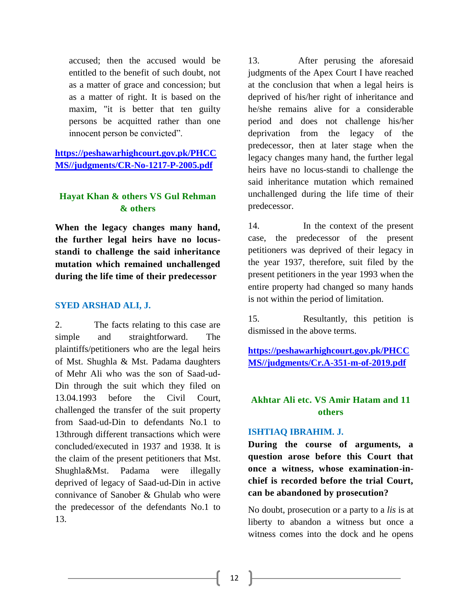accused; then the accused would be entitled to the benefit of such doubt, not as a matter of grace and concession; but as a matter of right. It is based on the maxim, "it is better that ten guilty persons be acquitted rather than one innocent person be convicted".

**[https://peshawarhighcourt.gov.pk/PHCC](https://peshawarhighcourt.gov.pk/PHCCMS/judgments/CR-No-1217-P-2005.pdf) [MS//judgments/CR-No-1217-P-2005.pdf](https://peshawarhighcourt.gov.pk/PHCCMS/judgments/CR-No-1217-P-2005.pdf)**

## <span id="page-14-0"></span>**Hayat Khan & others VS Gul Rehman & others**

<span id="page-14-1"></span>**When the legacy changes many hand, the further legal heirs have no locusstandi to challenge the said inheritance mutation which remained unchallenged during the life time of their predecessor**

## **SYED ARSHAD ALI, J.**

2. The facts relating to this case are simple and straightforward. The plaintiffs/petitioners who are the legal heirs of Mst. Shughla & Mst. Padama daughters of Mehr Ali who was the son of Saad-ud-Din through the suit which they filed on 13.04.1993 before the Civil Court, challenged the transfer of the suit property from Saad-ud-Din to defendants No.1 to 13through different transactions which were concluded/executed in 1937 and 1938. It is the claim of the present petitioners that Mst. Shughla&Mst. Padama were illegally deprived of legacy of Saad-ud-Din in active connivance of Sanober & Ghulab who were the predecessor of the defendants No.1 to 13.

13. After perusing the aforesaid judgments of the Apex Court I have reached at the conclusion that when a legal heirs is deprived of his/her right of inheritance and he/she remains alive for a considerable period and does not challenge his/her deprivation from the legacy of the predecessor, then at later stage when the legacy changes many hand, the further legal heirs have no locus-standi to challenge the said inheritance mutation which remained unchallenged during the life time of their predecessor.

14. In the context of the present case, the predecessor of the present petitioners was deprived of their legacy in the year 1937, therefore, suit filed by the present petitioners in the year 1993 when the entire property had changed so many hands is not within the period of limitation.

15. Resultantly, this petition is dismissed in the above terms.

**[https://peshawarhighcourt.gov.pk/PHCC](https://peshawarhighcourt.gov.pk/PHCCMS/judgments/Cr.A-351-m-of-2019.pdf) [MS//judgments/Cr.A-351-m-of-2019.pdf](https://peshawarhighcourt.gov.pk/PHCCMS/judgments/Cr.A-351-m-of-2019.pdf)**

# <span id="page-14-2"></span>**Akhtar Ali etc. VS Amir Hatam and 11 others**

## **ISHTIAQ IBRAHIM. J.**

<span id="page-14-3"></span>**During the course of arguments, a question arose before this Court that once a witness, whose examination-inchief is recorded before the trial Court, can be abandoned by prosecution?**

No doubt, prosecution or a party to a *lis* is at liberty to abandon a witness but once a witness comes into the dock and he opens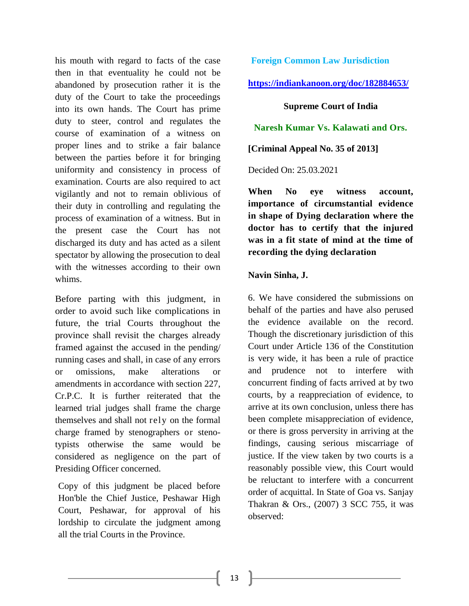his mouth with regard to facts of the case then in that eventuality he could not be abandoned by prosecution rather it is the duty of the Court to take the proceedings into its own hands. The Court has prime duty to steer, control and regulates the course of examination of a witness on proper lines and to strike a fair balance between the parties before it for bringing uniformity and consistency in process of examination. Courts are also required to act vigilantly and not to remain oblivious of their duty in controlling and regulating the process of examination of a witness. But in the present case the Court has not discharged its duty and has acted as a silent spectator by allowing the prosecution to deal with the witnesses according to their own whims.

Before parting with this judgment, in order to avoid such like complications in future, the trial Courts throughout the province shall revisit the charges already framed against the accused in the pending/ running cases and shall, in case of any errors or omissions, make alterations or amendments in accordance with section 227, Cr.P.C. It is further reiterated that the learned trial judges shall frame the charge themselves and shall not rely on the formal charge framed by stenographers or stenotypists otherwise the same would be considered as negligence on the part of Presiding Officer concerned.

Copy of this judgment be placed before Hon'ble the Chief Justice, Peshawar High Court, Peshawar, for approval of his lordship to circulate the judgment among all the trial Courts in the Province.

**Foreign Common Law Jurisdiction**

**<https://indiankanoon.org/doc/182884653/>**

**Supreme Court of India**

<span id="page-15-0"></span>**Naresh Kumar Vs. Kalawati and Ors.**

**[Criminal Appeal No. 35 of 2013]**

Decided On: 25.03.2021

<span id="page-15-1"></span>**When No eye witness account, importance of circumstantial evidence in shape of Dying declaration where the doctor has to certify that the injured was in a fit state of mind at the time of recording the dying declaration**

## **Navin Sinha, J.**

6. We have considered the submissions on behalf of the parties and have also perused the evidence available on the record. Though the discretionary jurisdiction of this Court under Article 136 of the Constitution is very wide, it has been a rule of practice and prudence not to interfere with concurrent finding of facts arrived at by two courts, by a reappreciation of evidence, to arrive at its own conclusion, unless there has been complete misappreciation of evidence, or there is gross perversity in arriving at the findings, causing serious miscarriage of justice. If the view taken by two courts is a reasonably possible view, this Court would be reluctant to interfere with a concurrent order of acquittal. In State of Goa vs. Sanjay Thakran & Ors., (2007) 3 SCC 755, it was observed: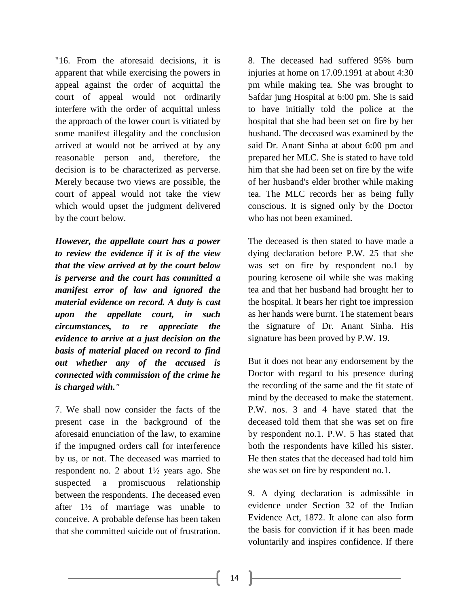"16. From the aforesaid decisions, it is apparent that while exercising the powers in appeal against the order of acquittal the court of appeal would not ordinarily interfere with the order of acquittal unless the approach of the lower court is vitiated by some manifest illegality and the conclusion arrived at would not be arrived at by any reasonable person and, therefore, the decision is to be characterized as perverse. Merely because two views are possible, the court of appeal would not take the view which would upset the judgment delivered by the court below.

*However, the appellate court has a power to review the evidence if it is of the view that the view arrived at by the court below is perverse and the court has committed a manifest error of law and ignored the material evidence on record. A duty is cast upon the appellate court, in such circumstances, to re appreciate the evidence to arrive at a just decision on the basis of material placed on record to find out whether any of the accused is connected with commission of the crime he is charged with."*

7. We shall now consider the facts of the present case in the background of the aforesaid enunciation of the law, to examine if the impugned orders call for interference by us, or not. The deceased was married to respondent no. 2 about 1½ years ago. She suspected a promiscuous relationship between the respondents. The deceased even after 1½ of marriage was unable to conceive. A probable defense has been taken that she committed suicide out of frustration. 8. The deceased had suffered 95% burn injuries at home on 17.09.1991 at about 4:30 pm while making tea. She was brought to Safdar jung Hospital at 6:00 pm. She is said to have initially told the police at the hospital that she had been set on fire by her husband. The deceased was examined by the said Dr. Anant Sinha at about 6:00 pm and prepared her MLC. She is stated to have told him that she had been set on fire by the wife of her husband's elder brother while making tea. The MLC records her as being fully conscious. It is signed only by the Doctor who has not been examined.

The deceased is then stated to have made a dying declaration before P.W. 25 that she was set on fire by respondent no.1 by pouring kerosene oil while she was making tea and that her husband had brought her to the hospital. It bears her right toe impression as her hands were burnt. The statement bears the signature of Dr. Anant Sinha. His signature has been proved by P.W. 19.

But it does not bear any endorsement by the Doctor with regard to his presence during the recording of the same and the fit state of mind by the deceased to make the statement. P.W. nos. 3 and 4 have stated that the deceased told them that she was set on fire by respondent no.1. P.W. 5 has stated that both the respondents have killed his sister. He then states that the deceased had told him she was set on fire by respondent no.1.

9. A dying declaration is admissible in evidence under Section 32 of the Indian Evidence Act, 1872. It alone can also form the basis for conviction if it has been made voluntarily and inspires confidence. If there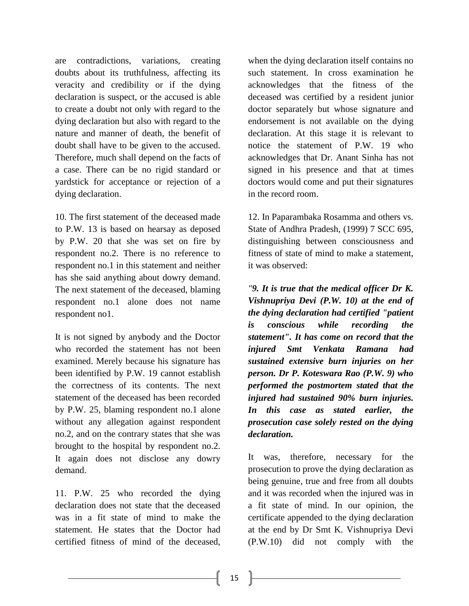are contradictions, variations, creating doubts about its truthfulness, affecting its veracity and credibility or if the dying declaration is suspect, or the accused is able to create a doubt not only with regard to the dying declaration but also with regard to the nature and manner of death, the benefit of doubt shall have to be given to the accused. Therefore, much shall depend on the facts of a case. There can be no rigid standard or yardstick for acceptance or rejection of a dying declaration.

10. The first statement of the deceased made to P.W. 13 is based on hearsay as deposed by P.W. 20 that she was set on fire by respondent no.2. There is no reference to respondent no.1 in this statement and neither has she said anything about dowry demand. The next statement of the deceased, blaming respondent no.1 alone does not name respondent no1.

It is not signed by anybody and the Doctor who recorded the statement has not been examined. Merely because his signature has been identified by P.W. 19 cannot establish the correctness of its contents. The next statement of the deceased has been recorded by P.W. 25, blaming respondent no.1 alone without any allegation against respondent no.2, and on the contrary states that she was brought to the hospital by respondent no.2. It again does not disclose any dowry demand.

11. P.W. 25 who recorded the dying declaration does not state that the deceased was in a fit state of mind to make the statement. He states that the Doctor had certified fitness of mind of the deceased, when the dying declaration itself contains no such statement. In cross examination he acknowledges that the fitness of the deceased was certified by a resident junior doctor separately but whose signature and endorsement is not available on the dying declaration. At this stage it is relevant to notice the statement of P.W. 19 who acknowledges that Dr. Anant Sinha has not signed in his presence and that at times doctors would come and put their signatures in the record room.

12. In Paparambaka Rosamma and others vs. State of Andhra Pradesh, (1999) 7 SCC 695, distinguishing between consciousness and fitness of state of mind to make a statement, it was observed:

*"9. It is true that the medical officer Dr K. Vishnupriya Devi (P.W. 10) at the end of the dying declaration had certified "patient is conscious while recording the statement". It has come on record that the injured Smt Venkata Ramana had sustained extensive burn injuries on her person. Dr P. Koteswara Rao (P.W. 9) who performed the postmortem stated that the injured had sustained 90% burn injuries. In this case as stated earlier, the prosecution case solely rested on the dying declaration.*

It was, therefore, necessary for the prosecution to prove the dying declaration as being genuine, true and free from all doubts and it was recorded when the injured was in a fit state of mind. In our opinion, the certificate appended to the dying declaration at the end by Dr Smt K. Vishnupriya Devi (P.W.10) did not comply with the